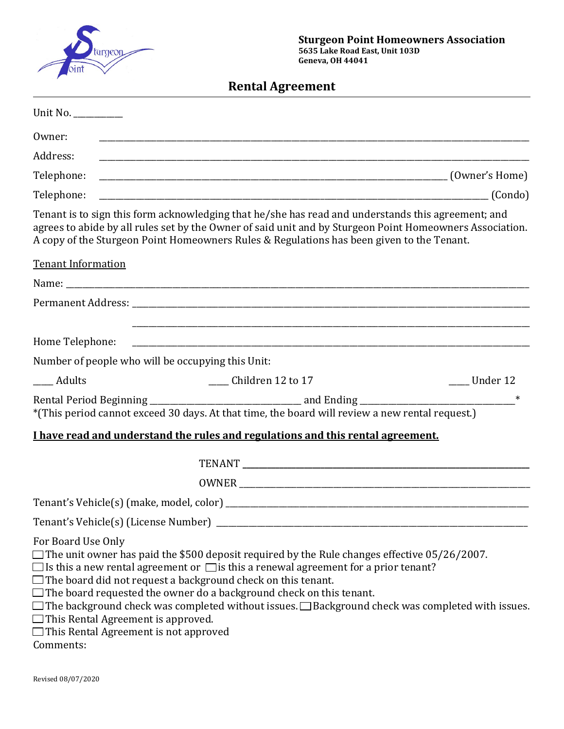

**Rental Agreement**

| Unit No. _________                                                                                                                                                                                                                                                                                                                                                                                                                                                                                                                                                                                    |
|-------------------------------------------------------------------------------------------------------------------------------------------------------------------------------------------------------------------------------------------------------------------------------------------------------------------------------------------------------------------------------------------------------------------------------------------------------------------------------------------------------------------------------------------------------------------------------------------------------|
| Owner:                                                                                                                                                                                                                                                                                                                                                                                                                                                                                                                                                                                                |
| Address:                                                                                                                                                                                                                                                                                                                                                                                                                                                                                                                                                                                              |
| Telephone:                                                                                                                                                                                                                                                                                                                                                                                                                                                                                                                                                                                            |
| Telephone:                                                                                                                                                                                                                                                                                                                                                                                                                                                                                                                                                                                            |
| Tenant is to sign this form acknowledging that he/she has read and understands this agreement; and<br>agrees to abide by all rules set by the Owner of said unit and by Sturgeon Point Homeowners Association.<br>A copy of the Sturgeon Point Homeowners Rules & Regulations has been given to the Tenant.                                                                                                                                                                                                                                                                                           |
| <b>Tenant Information</b>                                                                                                                                                                                                                                                                                                                                                                                                                                                                                                                                                                             |
|                                                                                                                                                                                                                                                                                                                                                                                                                                                                                                                                                                                                       |
|                                                                                                                                                                                                                                                                                                                                                                                                                                                                                                                                                                                                       |
| Home Telephone:                                                                                                                                                                                                                                                                                                                                                                                                                                                                                                                                                                                       |
| Number of people who will be occupying this Unit:                                                                                                                                                                                                                                                                                                                                                                                                                                                                                                                                                     |
| ____ Adults<br>_____ Children 12 to 17<br>__ Under 12                                                                                                                                                                                                                                                                                                                                                                                                                                                                                                                                                 |
| *(This period cannot exceed 30 days. At that time, the board will review a new rental request.)                                                                                                                                                                                                                                                                                                                                                                                                                                                                                                       |
| I have read and understand the rules and regulations and this rental agreement.                                                                                                                                                                                                                                                                                                                                                                                                                                                                                                                       |
|                                                                                                                                                                                                                                                                                                                                                                                                                                                                                                                                                                                                       |
|                                                                                                                                                                                                                                                                                                                                                                                                                                                                                                                                                                                                       |
|                                                                                                                                                                                                                                                                                                                                                                                                                                                                                                                                                                                                       |
| Tenant's Vehicle(s) (License Number) _                                                                                                                                                                                                                                                                                                                                                                                                                                                                                                                                                                |
| For Board Use Only<br>$\Box$ The unit owner has paid the \$500 deposit required by the Rule changes effective 05/26/2007.<br>$\Box$ Is this a new rental agreement or $\Box$ is this a renewal agreement for a prior tenant?<br>$\Box$ The board did not request a background check on this tenant.<br>$\Box$ The board requested the owner do a background check on this tenant.<br>$\Box$ The background check was completed without issues. $\Box$ Background check was completed with issues.<br>$\Box$ This Rental Agreement is approved.<br>□This Rental Agreement is not approved<br>Comments: |